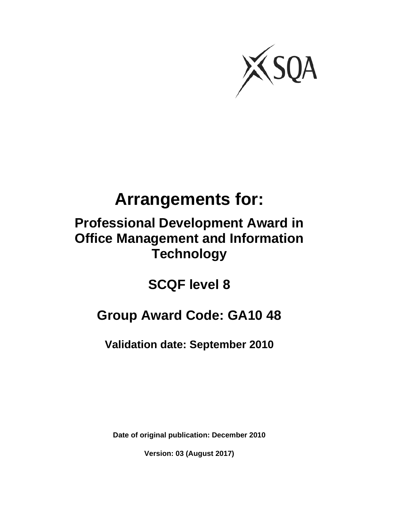

# **Arrangements for:**

## **Professional Development Award in Office Management and Information Technology**

**SCQF level 8** 

## **Group Award Code: GA10 48**

**Validation date: September 2010**

**Date of original publication: December 2010** 

**Version: 03 (August 2017)**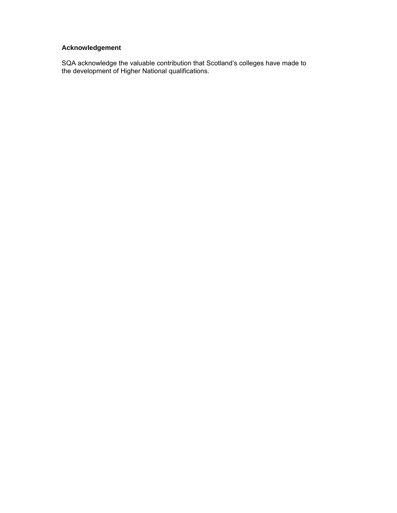#### **Acknowledgement**

SQA acknowledge the valuable contribution that Scotland's colleges have made to the development of Higher National qualifications.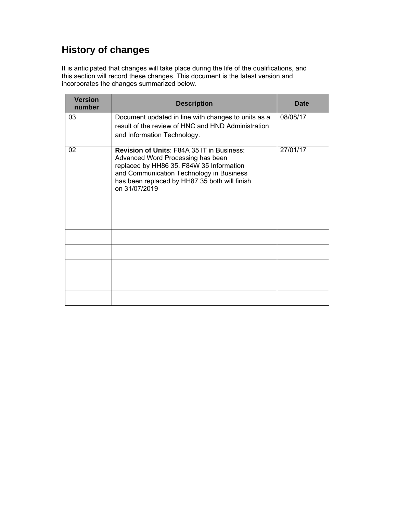## **History of changes**

It is anticipated that changes will take place during the life of the qualifications, and this section will record these changes. This document is the latest version and incorporates the changes summarized below.

| <b>Version</b><br>number | <b>Description</b>                                                                                                                                                                                                                               | <b>Date</b> |
|--------------------------|--------------------------------------------------------------------------------------------------------------------------------------------------------------------------------------------------------------------------------------------------|-------------|
| 03                       | Document updated in line with changes to units as a<br>result of the review of HNC and HND Administration<br>and Information Technology.                                                                                                         | 08/08/17    |
| 02                       | <b>Revision of Units: F84A 35 IT in Business:</b><br>Advanced Word Processing has been<br>replaced by HH86 35. F84W 35 Information<br>and Communication Technology in Business<br>has been replaced by HH87 35 both will finish<br>on 31/07/2019 | 27/01/17    |
|                          |                                                                                                                                                                                                                                                  |             |
|                          |                                                                                                                                                                                                                                                  |             |
|                          |                                                                                                                                                                                                                                                  |             |
|                          |                                                                                                                                                                                                                                                  |             |
|                          |                                                                                                                                                                                                                                                  |             |
|                          |                                                                                                                                                                                                                                                  |             |
|                          |                                                                                                                                                                                                                                                  |             |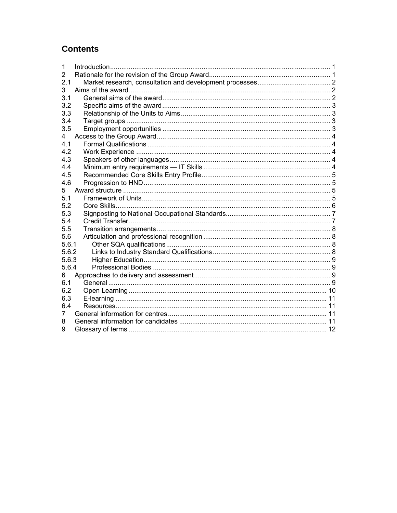## **Contents**

| 1     |  |
|-------|--|
| 2     |  |
| 2.1   |  |
| 3     |  |
| 3.1   |  |
| 3.2   |  |
| 3.3   |  |
| 3.4   |  |
| 3.5   |  |
| 4     |  |
| 4.1   |  |
| 4.2   |  |
| 4.3   |  |
| 4.4   |  |
| 4.5   |  |
| 4.6   |  |
| 5     |  |
| 5.1   |  |
| 5.2   |  |
| 5.3   |  |
| 5.4   |  |
| 5.5   |  |
| 5.6   |  |
| 5.6.1 |  |
| 5.6.2 |  |
| 5.6.3 |  |
| 5.6.4 |  |
| 6     |  |
| 6.1   |  |
| 6.2   |  |
| 6.3   |  |
| 6.4   |  |
| 7     |  |
| 8     |  |
| 9     |  |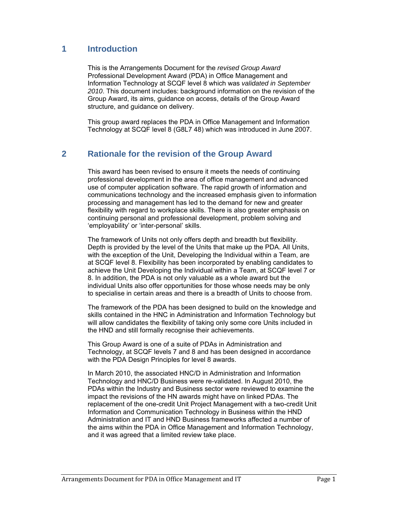## **1 Introduction**

This is the Arrangements Document for the *revised Group Award* Professional Development Award (PDA) in Office Management and Information Technology at SCQF level 8 which was *validated in September 2010*. This document includes: background information on the revision of the Group Award, its aims, guidance on access, details of the Group Award structure, and guidance on delivery.

This group award replaces the PDA in Office Management and Information Technology at SCQF level 8 (G8L7 48) which was introduced in June 2007.

## **2 Rationale for the revision of the Group Award**

This award has been revised to ensure it meets the needs of continuing professional development in the area of office management and advanced use of computer application software. The rapid growth of information and communications technology and the increased emphasis given to information processing and management has led to the demand for new and greater flexibility with regard to workplace skills. There is also greater emphasis on continuing personal and professional development, problem solving and 'employability' or 'inter-personal' skills.

The framework of Units not only offers depth and breadth but flexibility. Depth is provided by the level of the Units that make up the PDA. All Units, with the exception of the Unit, Developing the Individual within a Team, are at SCQF level 8. Flexibility has been incorporated by enabling candidates to achieve the Unit Developing the Individual within a Team, at SCQF level 7 or 8. In addition, the PDA is not only valuable as a whole award but the individual Units also offer opportunities for those whose needs may be only to specialise in certain areas and there is a breadth of Units to choose from.

The framework of the PDA has been designed to build on the knowledge and skills contained in the HNC in Administration and Information Technology but will allow candidates the flexibility of taking only some core Units included in the HND and still formally recognise their achievements.

This Group Award is one of a suite of PDAs in Administration and Technology, at SCQF levels 7 and 8 and has been designed in accordance with the PDA Design Principles for level 8 awards.

In March 2010, the associated HNC/D in Administration and Information Technology and HNC/D Business were re-validated. In August 2010, the PDAs within the Industry and Business sector were reviewed to examine the impact the revisions of the HN awards might have on linked PDAs. The replacement of the one-credit Unit Project Management with a two-credit Unit Information and Communication Technology in Business within the HND Administration and IT and HND Business frameworks affected a number of the aims within the PDA in Office Management and Information Technology, and it was agreed that a limited review take place.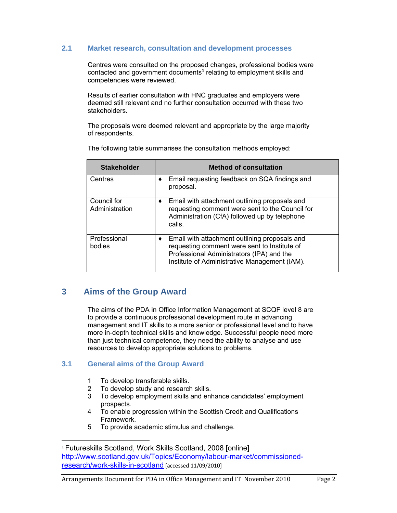#### **2.1 Market research, consultation and development processes**

Centres were consulted on the proposed changes, professional bodies were contacted and government documents**<sup>1</sup>** relating to employment skills and competencies were reviewed.

Results of earlier consultation with HNC graduates and employers were deemed still relevant and no further consultation occurred with these two stakeholders.

The proposals were deemed relevant and appropriate by the large majority of respondents.

| <b>Stakeholder</b>            | <b>Method of consultation</b>                                                                                                                                                                    |
|-------------------------------|--------------------------------------------------------------------------------------------------------------------------------------------------------------------------------------------------|
| Centres                       | Email requesting feedback on SQA findings and<br>proposal.                                                                                                                                       |
| Council for<br>Administration | Email with attachment outlining proposals and<br>٠<br>requesting comment were sent to the Council for<br>Administration (CfA) followed up by telephone<br>calls.                                 |
| Professional<br>bodies        | Email with attachment outlining proposals and<br>٠<br>requesting comment were sent to Institute of<br>Professional Administrators (IPA) and the<br>Institute of Administrative Management (IAM). |

The following table summarises the consultation methods employed:

## **3 Aims of the Group Award**

 The aims of the PDA in Office Information Management at SCQF level 8 are to provide a continuous professional development route in advancing management and IT skills to a more senior or professional level and to have more in-depth technical skills and knowledge. Successful people need more than just technical competence, they need the ability to analyse and use resources to develop appropriate solutions to problems.

#### **3.1 General aims of the Group Award**

- 1 To develop transferable skills.
- 2 To develop study and research skills.
- 3 To develop employment skills and enhance candidates' employment prospects.
- 4 To enable progression within the Scottish Credit and Qualifications Framework.
- 5 To provide academic stimulus and challenge.

<sup>1</sup> Futureskills Scotland, Work Skills Scotland, 2008 [online] http://www.scotland.gov.uk/Topics/Economy/labour-market/commissionedresearch/work-skills-in-scotland [accessed 11/09/2010]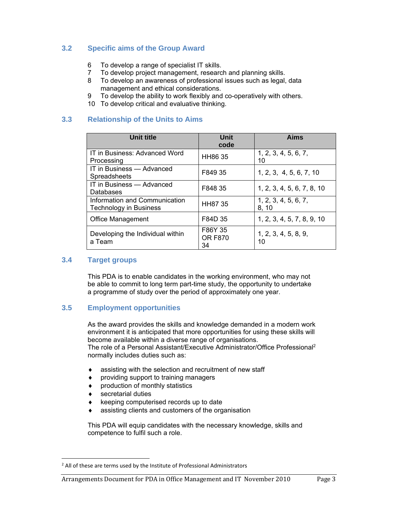#### **3.2 Specific aims of the Group Award**

- 6 To develop a range of specialist IT skills.
- 7 To develop project management, research and planning skills.
- 8 To develop an awareness of professional issues such as legal, data management and ethical considerations.
- 9 To develop the ability to work flexibly and co-operatively with others.
- 10 To develop critical and evaluative thinking.

#### **3.3 Relationship of the Units to Aims**

| Unit title                                                     | Unit<br>code                    | Aims                          |
|----------------------------------------------------------------|---------------------------------|-------------------------------|
| IT in Business: Advanced Word<br>Processing                    | HH86 35                         | 1, 2, 3, 4, 5, 6, 7,<br>10    |
| IT in Business - Advanced<br>Spreadsheets                      | F849 35                         | 1, 2, 3, 4, 5, 6, 7, 10       |
| IT in Business — Advanced<br>Databases                         | F848 35                         | 1, 2, 3, 4, 5, 6, 7, 8, 10    |
| Information and Communication<br><b>Technology in Business</b> | <b>HH8735</b>                   | 1, 2, 3, 4, 5, 6, 7,<br>8, 10 |
| <b>Office Management</b>                                       | F84D 35                         | 1, 2, 3, 4, 5, 7, 8, 9, 10    |
| Developing the Individual within<br>a Team                     | F86Y 35<br><b>OR F870</b><br>34 | 1, 2, 3, 4, 5, 8, 9,<br>10    |

#### **3.4 Target groups**

 This PDA is to enable candidates in the working environment, who may not be able to commit to long term part-time study, the opportunity to undertake a programme of study over the period of approximately one year.

#### **3.5 Employment opportunities**

 As the award provides the skills and knowledge demanded in a modern work environment it is anticipated that more opportunities for using these skills will become available within a diverse range of organisations. The role of a Personal Assistant/Executive Administrator/Office Professional2 normally includes duties such as:

- assisting with the selection and recruitment of new staff
- providing support to training managers
- production of monthly statistics
- secretarial duties

- keeping computerised records up to date
- assisting clients and customers of the organisation

 This PDA will equip candidates with the necessary knowledge, skills and competence to fulfil such a role.

<sup>&</sup>lt;sup>2</sup> All of these are terms used by the Institute of Professional Administrators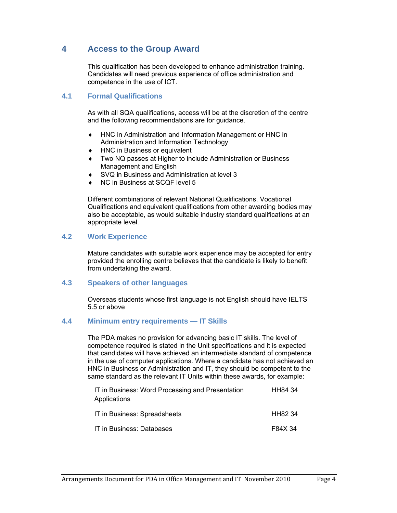## **4 Access to the Group Award**

 This qualification has been developed to enhance administration training. Candidates will need previous experience of office administration and competence in the use of ICT.

#### **4.1 Formal Qualifications**

 As with all SQA qualifications, access will be at the discretion of the centre and the following recommendations are for guidance.

- HNC in Administration and Information Management or HNC in Administration and Information Technology
- HNC in Business or equivalent
- Two NQ passes at Higher to include Administration or Business Management and English
- SVQ in Business and Administration at level 3
- NC in Business at SCQF level 5

 Different combinations of relevant National Qualifications, Vocational Qualifications and equivalent qualifications from other awarding bodies may also be acceptable, as would suitable industry standard qualifications at an appropriate level.

#### **4.2 Work Experience**

 Mature candidates with suitable work experience may be accepted for entry provided the enrolling centre believes that the candidate is likely to benefit from undertaking the award.

#### **4.3 Speakers of other languages**

 Overseas students whose first language is not English should have IELTS 5.5 or above

#### **4.4 Minimum entry requirements — IT Skills**

 The PDA makes no provision for advancing basic IT skills. The level of competence required is stated in the Unit specifications and it is expected that candidates will have achieved an intermediate standard of competence in the use of computer applications. Where a candidate has not achieved an HNC in Business or Administration and IT, they should be competent to the same standard as the relevant IT Units within these awards, for example:

| IT in Business: Word Processing and Presentation<br>Applications | HH84 34 |
|------------------------------------------------------------------|---------|
| IT in Business: Spreadsheets                                     | HH82 34 |
| IT in Business: Databases                                        | F84X 34 |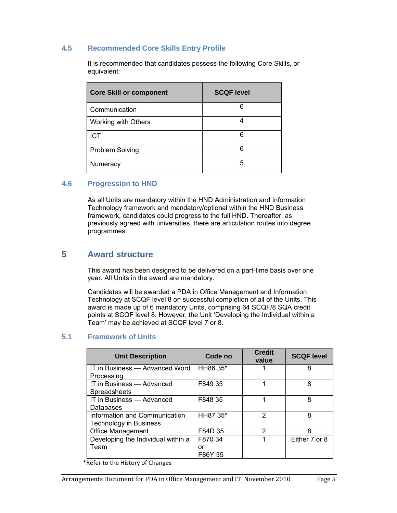#### **4.5 Recommended Core Skills Entry Profile**

 It is recommended that candidates possess the following Core Skills, or equivalent:

| <b>Core Skill or component</b> | <b>SCQF level</b> |
|--------------------------------|-------------------|
| Communication                  | 6                 |
| Working with Others            |                   |
| <b>ICT</b>                     | 6                 |
| <b>Problem Solving</b>         | 6                 |
| Numeracy                       | 5                 |

#### **4.6 Progression to HND**

 As all Units are mandatory within the HND Administration and Information Technology framework and mandatory/optional within the HND Business framework, candidates could progress to the full HND. Thereafter, as previously agreed with universities, there are articulation routes into degree programmes.

#### **5 Award structure**

 This award has been designed to be delivered on a part-time basis over one year. All Units in the award are mandatory.

 Candidates will be awarded a PDA in Office Management and Information Technology at SCQF level 8 on successful completion of all of the Units. This award is made up of 6 mandatory Units, comprising 64 SCQF/8 SQA credit points at SCQF level 8. However, the Unit 'Developing the Individual within a Team' may be achieved at SCQF level 7 or 8.

#### **5.1 Framework of Units**

| <b>Unit Description</b>                                        | Code no       | <b>Credit</b><br>value | <b>SCQF level</b> |
|----------------------------------------------------------------|---------------|------------------------|-------------------|
| IT in Business — Advanced Word<br>Processing                   | HH86 35*      |                        | 8                 |
| IT in Business - Advanced<br>Spreadsheets                      | F849 35       |                        | 8                 |
| IT in Business - Advanced<br>Databases                         | F848 35       |                        | 8                 |
| Information and Communication<br><b>Technology in Business</b> | HH87 35*      | 2                      | 8                 |
| <b>Office Management</b>                                       | F84D 35       | 2                      | 8                 |
| Developing the Individual within a                             | F870 34       | 1                      | Either 7 or 8     |
| Team                                                           | or<br>F86Y 35 |                        |                   |

\*Refer to the History of Changes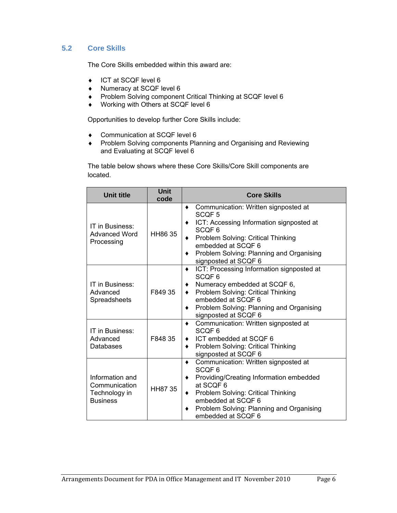#### **5.2 Core Skills**

The Core Skills embedded within this award are:

- ◆ ICT at SCQF level 6
- ◆ Numeracy at SCQF level 6
- Problem Solving component Critical Thinking at SCQF level 6
- ◆ Working with Others at SCQF level 6

Opportunities to develop further Core Skills include:

- ◆ Communication at SCQF level 6
- Problem Solving components Planning and Organising and Reviewing and Evaluating at SCQF level 6

 The table below shows where these Core Skills/Core Skill components are located.

| <b>Unit title</b>                                                    | <b>Unit</b><br>code | <b>Core Skills</b>                                                                                                                                                                                                                                                |
|----------------------------------------------------------------------|---------------------|-------------------------------------------------------------------------------------------------------------------------------------------------------------------------------------------------------------------------------------------------------------------|
| IT in Business:<br><b>Advanced Word</b><br>Processing                | HH86 35             | Communication: Written signposted at<br>SCQF <sub>5</sub><br>ICT: Accessing Information signposted at<br>SCQF <sub>6</sub><br>Problem Solving: Critical Thinking<br>embedded at SCQF 6<br>Problem Solving: Planning and Organising<br>signposted at SCQF 6        |
| IT in Business:<br>Advanced<br>Spreadsheets                          | F849 35             | ICT: Processing Information signposted at<br>SCQF <sub>6</sub><br>Numeracy embedded at SCQF 6,<br>Problem Solving: Critical Thinking<br>embedded at SCQF 6<br>Problem Solving: Planning and Organising<br>signposted at SCQF 6                                    |
| IT in Business:<br>Advanced<br>Databases                             | F848 35             | Communication: Written signposted at<br>$\bullet$<br>SCQF <sub>6</sub><br>ICT embedded at SCQF 6<br>٠<br>Problem Solving: Critical Thinking<br>signposted at SCQF 6                                                                                               |
| Information and<br>Communication<br>Technology in<br><b>Business</b> | HH87 35             | Communication: Written signposted at<br>$\bullet$<br>SCQF <sub>6</sub><br>Providing/Creating Information embedded<br>at SCQF 6<br>Problem Solving: Critical Thinking<br>٠<br>embedded at SCQF 6<br>Problem Solving: Planning and Organising<br>embedded at SCQF 6 |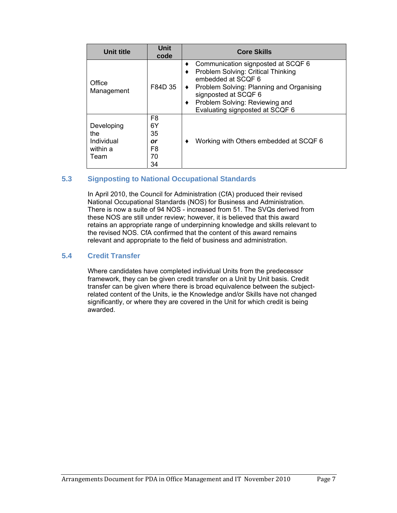| Unit title                                           | <b>Unit</b><br>code                                            | <b>Core Skills</b>                                                                                                                                                                                                                                     |
|------------------------------------------------------|----------------------------------------------------------------|--------------------------------------------------------------------------------------------------------------------------------------------------------------------------------------------------------------------------------------------------------|
| Office<br>Management                                 | F84D 35                                                        | Communication signposted at SCQF 6<br>٠<br>Problem Solving: Critical Thinking<br>embedded at SCOF 6<br>Problem Solving: Planning and Organising<br>٠<br>signposted at SCQF 6<br>Problem Solving: Reviewing and<br>٠<br>Evaluating signposted at SCQF 6 |
| Developing<br>the.<br>Individual<br>within a<br>Team | F <sub>8</sub><br>6Y<br>35<br>or<br>F <sub>8</sub><br>70<br>34 | Working with Others embedded at SCQF 6                                                                                                                                                                                                                 |

#### **5.3 Signposting to National Occupational Standards**

 In April 2010, the Council for Administration (CfA) produced their revised National Occupational Standards (NOS) for Business and Administration. There is now a suite of 94 NOS - increased from 51. The SVQs derived from these NOS are still under review; however, it is believed that this award retains an appropriate range of underpinning knowledge and skills relevant to the revised NOS. CfA confirmed that the content of this award remains relevant and appropriate to the field of business and administration.

#### **5.4 Credit Transfer**

 Where candidates have completed individual Units from the predecessor framework, they can be given credit transfer on a Unit by Unit basis. Credit transfer can be given where there is broad equivalence between the subjectrelated content of the Units, ie the Knowledge and/or Skills have not changed significantly, or where they are covered in the Unit for which credit is being awarded.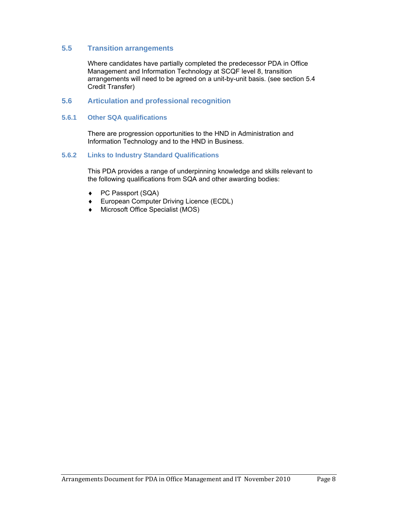#### **5.5 Transition arrangements**

 Where candidates have partially completed the predecessor PDA in Office Management and Information Technology at SCQF level 8, transition arrangements will need to be agreed on a unit-by-unit basis. (see section 5.4 Credit Transfer)

#### **5.6 Articulation and professional recognition**

#### **5.6.1 Other SQA qualifications**

 There are progression opportunities to the HND in Administration and Information Technology and to the HND in Business.

#### **5.6.2 Links to Industry Standard Qualifications**

 This PDA provides a range of underpinning knowledge and skills relevant to the following qualifications from SQA and other awarding bodies:

- ◆ PC Passport (SQA)
- ◆ European Computer Driving Licence (ECDL)
- Microsoft Office Specialist (MOS)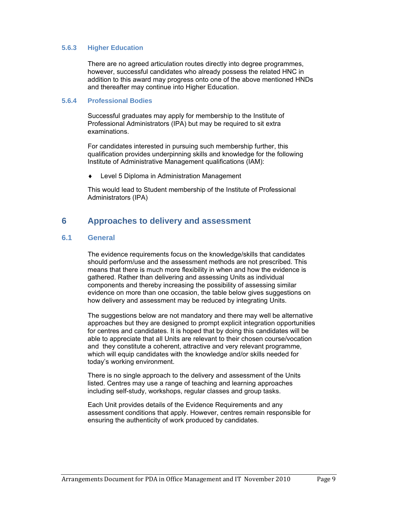#### **5.6.3 Higher Education**

 There are no agreed articulation routes directly into degree programmes, however, successful candidates who already possess the related HNC in addition to this award may progress onto one of the above mentioned HNDs and thereafter may continue into Higher Education.

#### **5.6.4 Professional Bodies**

 Successful graduates may apply for membership to the Institute of Professional Administrators (IPA) but may be required to sit extra examinations.

 For candidates interested in pursuing such membership further, this qualification provides underpinning skills and knowledge for the following Institute of Administrative Management qualifications (IAM):

Level 5 Diploma in Administration Management

 This would lead to Student membership of the Institute of Professional Administrators (IPA)

## **6 Approaches to delivery and assessment**

#### **6.1 General**

 The evidence requirements focus on the knowledge/skills that candidates should perform/use and the assessment methods are not prescribed. This means that there is much more flexibility in when and how the evidence is gathered. Rather than delivering and assessing Units as individual components and thereby increasing the possibility of assessing similar evidence on more than one occasion, the table below gives suggestions on how delivery and assessment may be reduced by integrating Units.

 The suggestions below are not mandatory and there may well be alternative approaches but they are designed to prompt explicit integration opportunities for centres and candidates. It is hoped that by doing this candidates will be able to appreciate that all Units are relevant to their chosen course/vocation and they constitute a coherent, attractive and very relevant programme, which will equip candidates with the knowledge and/or skills needed for today's working environment.

 There is no single approach to the delivery and assessment of the Units listed. Centres may use a range of teaching and learning approaches including self-study, workshops, regular classes and group tasks.

 Each Unit provides details of the Evidence Requirements and any assessment conditions that apply. However, centres remain responsible for ensuring the authenticity of work produced by candidates.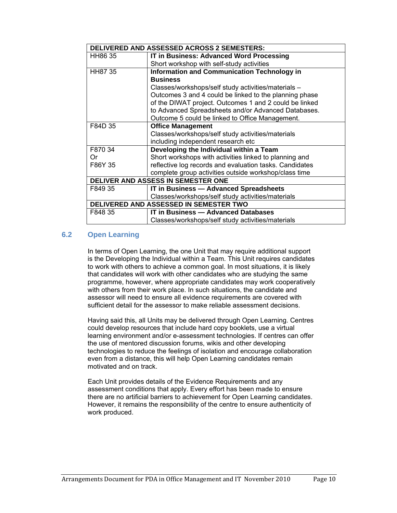| DELIVERED AND ASSESSED ACROSS 2 SEMESTERS: |                                                         |  |
|--------------------------------------------|---------------------------------------------------------|--|
| HH86 35                                    | <b>IT in Business: Advanced Word Processing</b>         |  |
|                                            | Short workshop with self-study activities               |  |
| HH87 35                                    | <b>Information and Communication Technology in</b>      |  |
|                                            | <b>Business</b>                                         |  |
|                                            | Classes/workshops/self study activities/materials -     |  |
|                                            | Outcomes 3 and 4 could be linked to the planning phase  |  |
|                                            | of the DIWAT project. Outcomes 1 and 2 could be linked  |  |
|                                            | to Advanced Spreadsheets and/or Advanced Databases.     |  |
|                                            | Outcome 5 could be linked to Office Management.         |  |
| F84D 35                                    | <b>Office Management</b>                                |  |
|                                            | Classes/workshops/self study activities/materials       |  |
|                                            | including independent research etc                      |  |
| F870 34                                    | Developing the Individual within a Team                 |  |
| 0r                                         | Short workshops with activities linked to planning and  |  |
| F86Y 35                                    | reflective log records and evaluation tasks. Candidates |  |
|                                            | complete group activities outside workshop/class time   |  |
| DELIVER AND ASSESS IN SEMESTER ONE         |                                                         |  |
| F849 35                                    | <b>IT in Business - Advanced Spreadsheets</b>           |  |
|                                            | Classes/workshops/self study activities/materials       |  |
| DELIVERED AND ASSESSED IN SEMESTER TWO     |                                                         |  |
| F848 35                                    | <b>IT in Business - Advanced Databases</b>              |  |
|                                            | Classes/workshops/self study activities/materials       |  |

#### **6.2 Open Learning**

In terms of Open Learning, the one Unit that may require additional support is the Developing the Individual within a Team. This Unit requires candidates to work with others to achieve a common goal. In most situations, it is likely that candidates will work with other candidates who are studying the same programme, however, where appropriate candidates may work cooperatively with others from their work place. In such situations, the candidate and assessor will need to ensure all evidence requirements are covered with sufficient detail for the assessor to make reliable assessment decisions.

 Having said this, all Units may be delivered through Open Learning. Centres could develop resources that include hard copy booklets, use a virtual learning environment and/or e-assessment technologies. If centres can offer the use of mentored discussion forums, wikis and other developing technologies to reduce the feelings of isolation and encourage collaboration even from a distance, this will help Open Learning candidates remain motivated and on track.

 Each Unit provides details of the Evidence Requirements and any assessment conditions that apply. Every effort has been made to ensure there are no artificial barriers to achievement for Open Learning candidates. However, it remains the responsibility of the centre to ensure authenticity of work produced.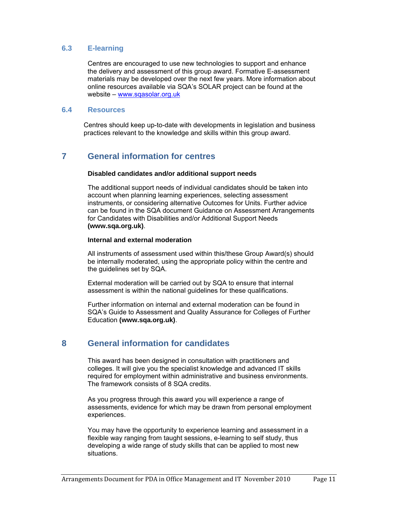#### **6.3 E-learning**

 Centres are encouraged to use new technologies to support and enhance the delivery and assessment of this group award. Formative E-assessment materials may be developed over the next few years. More information about online resources available via SQA's SOLAR project can be found at the website – www.sqasolar.org.uk

#### **6.4 Resources**

 Centres should keep up-to-date with developments in legislation and business practices relevant to the knowledge and skills within this group award.

## **7 General information for centres**

#### **Disabled candidates and/or additional support needs**

 The additional support needs of individual candidates should be taken into account when planning learning experiences, selecting assessment instruments, or considering alternative Outcomes for Units. Further advice can be found in the SQA document Guidance on Assessment Arrangements for Candidates with Disabilities and/or Additional Support Needs **(www.sqa.org.uk)**.

#### **Internal and external moderation**

 All instruments of assessment used within this/these Group Award(s) should be internally moderated, using the appropriate policy within the centre and the guidelines set by SQA.

 External moderation will be carried out by SQA to ensure that internal assessment is within the national guidelines for these qualifications.

 Further information on internal and external moderation can be found in SQA's Guide to Assessment and Quality Assurance for Colleges of Further Education **(www.sqa.org.uk)**.

## **8 General information for candidates**

 This award has been designed in consultation with practitioners and colleges. It will give you the specialist knowledge and advanced IT skills required for employment within administrative and business environments. The framework consists of 8 SQA credits.

 As you progress through this award you will experience a range of assessments, evidence for which may be drawn from personal employment experiences.

 You may have the opportunity to experience learning and assessment in a flexible way ranging from taught sessions, e-learning to self study, thus developing a wide range of study skills that can be applied to most new situations.